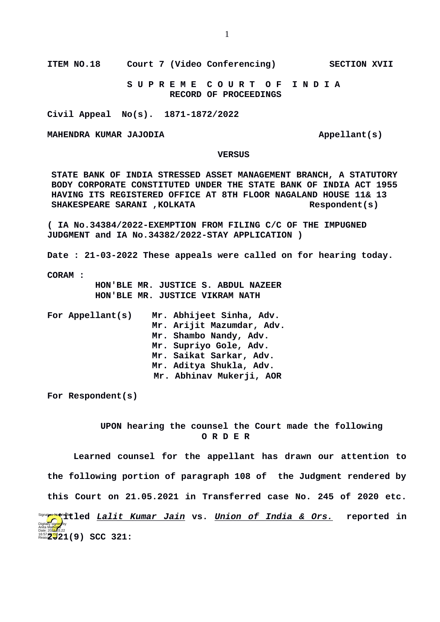**S U P R E M E C O U R T O F I N D I A RECORD OF PROCEEDINGS**

**Civil Appeal No(s). 1871-1872/2022**

**MAHENDRA KUMAR JAJODIA Appellant(s)** 

## **VERSUS**

**STATE BANK OF INDIA STRESSED ASSET MANAGEMENT BRANCH, A STATUTORY BODY CORPORATE CONSTITUTED UNDER THE STATE BANK OF INDIA ACT 1955 HAVING ITS REGISTERED OFFICE AT 8TH FLOOR NAGALAND HOUSE 11& 13 SHAKESPEARE SARANI ,KOLKATA Respondent(s)**

**( IA No.34384/2022-EXEMPTION FROM FILING C/C OF THE IMPUGNED JUDGMENT and IA No.34382/2022-STAY APPLICATION )**

**Date : 21-03-2022 These appeals were called on for hearing today.**

**CORAM :** 

 **HON'BLE MR. JUSTICE S. ABDUL NAZEER HON'BLE MR. JUSTICE VIKRAM NATH**

| For Appellant(s) | Mr. Abhijeet Sinha, Adv.<br>Mr. Arijit Mazumdar, Adv.<br>Mr. Shambo Nandy, Adv.<br>Mr. Supriyo Gole, Adv.<br>Mr. Saikat Sarkar, Adv.<br>Mr. Aditya Shukla, Adv.<br>Mr. Abhinav Mukerji, AOR |
|------------------|---------------------------------------------------------------------------------------------------------------------------------------------------------------------------------------------|
|                  |                                                                                                                                                                                             |

**For Respondent(s)**

 **UPON hearing the counsel the Court made the following O R D E R**

**Learned counsel for the appellant has drawn our attention to the following portion of paragraph 108 of the Judgment rendered by this Court on 21.05.2021 in Transferred case No. 245 of 2020 etc. ender that it led <u>Lalit Kumar Jain</u> vs. <u>Union of India & Ors.</u> reported in** Date: 2022**1**03.22<br>Reaso**n: 213** 21 (9) SCC 321: Digitally signed by Anita Mal<mark>hotr</mark>a